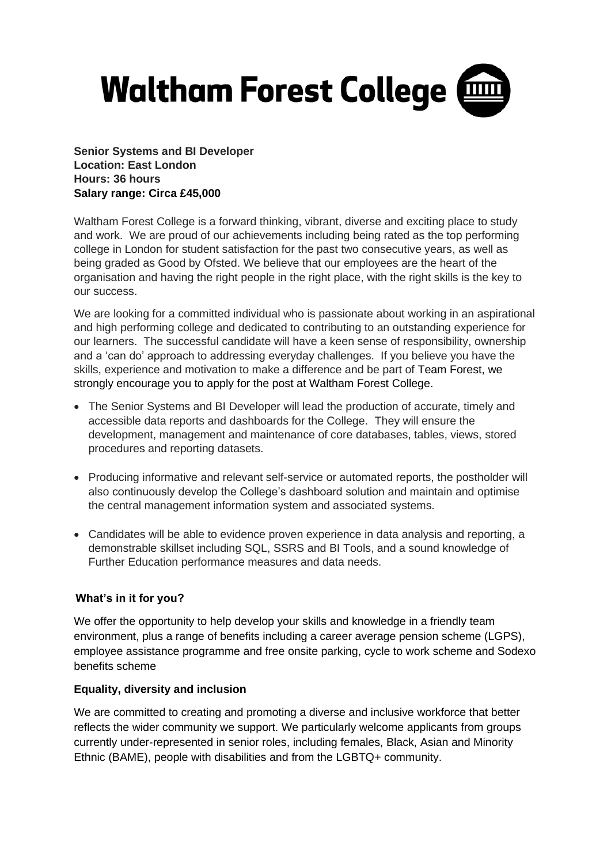# **Waltham Forest College (**

**Senior Systems and BI Developer Location: East London Hours: 36 hours Salary range: Circa £45,000**

Waltham Forest College is a forward thinking, vibrant, diverse and exciting place to study and work. We are proud of our achievements including being rated as the top performing college in London for student satisfaction for the past two consecutive years, as well as being graded as Good by Ofsted. We believe that our employees are the heart of the organisation and having the right people in the right place, with the right skills is the key to our success.

We are looking for a committed individual who is passionate about working in an aspirational and high performing college and dedicated to contributing to an outstanding experience for our learners. The successful candidate will have a keen sense of responsibility, ownership and a 'can do' approach to addressing everyday challenges. If you believe you have the skills, experience and motivation to make a difference and be part of Team Forest, we strongly encourage you to apply for the post at Waltham Forest College.

- The Senior Systems and BI Developer will lead the production of accurate, timely and accessible data reports and dashboards for the College. They will ensure the development, management and maintenance of core databases, tables, views, stored procedures and reporting datasets.
- Producing informative and relevant self-service or automated reports, the postholder will also continuously develop the College's dashboard solution and maintain and optimise the central management information system and associated systems.
- Candidates will be able to evidence proven experience in data analysis and reporting, a demonstrable skillset including SQL, SSRS and BI Tools, and a sound knowledge of Further Education performance measures and data needs.

## **What's in it for you?**

We offer the opportunity to help develop your skills and knowledge in a friendly team environment, plus a range of benefits including a career average pension scheme (LGPS), employee assistance programme and free onsite parking, cycle to work scheme and Sodexo benefits scheme

#### **Equality, diversity and inclusion**

We are committed to creating and promoting a diverse and inclusive workforce that better reflects the wider community we support. We particularly welcome applicants from groups currently under-represented in senior roles, including females, Black, Asian and Minority Ethnic (BAME), people with disabilities and from the LGBTQ+ community.